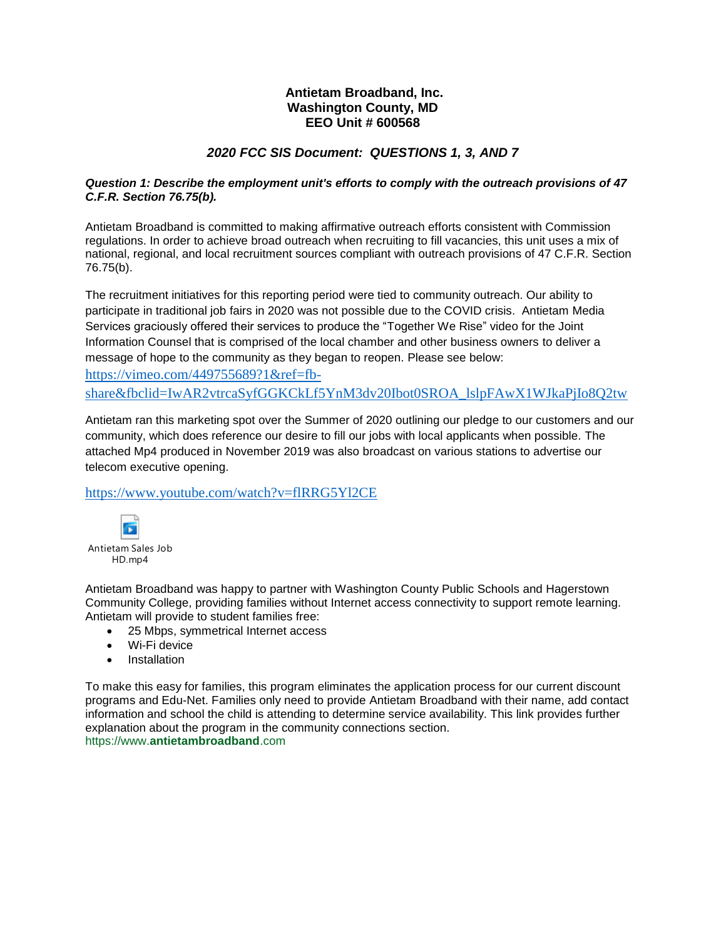## **Antietam Broadband, Inc. Washington County, MD EEO Unit # 600568**

# *2020 FCC SIS Document: QUESTIONS 1, 3, AND 7*

### *Question 1: Describe the employment unit's efforts to comply with the outreach provisions of 47 C.F.R. Section 76.75(b).*

Antietam Broadband is committed to making affirmative outreach efforts consistent with Commission regulations. In order to achieve broad outreach when recruiting to fill vacancies, this unit uses a mix of national, regional, and local recruitment sources compliant with outreach provisions of 47 C.F.R. Section 76.75(b).

The recruitment initiatives for this reporting period were tied to community outreach. Our ability to participate in traditional job fairs in 2020 was not possible due to the COVID crisis. Antietam Media Services graciously offered their services to produce the "Together We Rise" video for the Joint Information Counsel that is comprised of the local chamber and other business owners to deliver a message of hope to the community as they began to reopen. Please see below: [https://vimeo.com/449755689?1&ref=fb-](https://vimeo.com/449755689?1&ref=fb-share&fbclid=IwAR2vtrcaSyfGGKCkLf5YnM3dv20Ibot0SROA_lslpFAwX1WJkaPjIo8Q2tw)

[share&fbclid=IwAR2vtrcaSyfGGKCkLf5YnM3dv20Ibot0SROA\\_lslpFAwX1WJkaPjIo8Q2tw](https://vimeo.com/449755689?1&ref=fb-share&fbclid=IwAR2vtrcaSyfGGKCkLf5YnM3dv20Ibot0SROA_lslpFAwX1WJkaPjIo8Q2tw)

Antietam ran this marketing spot over the Summer of 2020 outlining our pledge to our customers and our community, which does reference our desire to fill our jobs with local applicants when possible. The attached Mp4 produced in November 2019 was also broadcast on various stations to advertise our telecom executive opening.

<https://www.youtube.com/watch?v=flRRG5Yl2CE>



Antietam Broadband was happy to partner with Washington County Public Schools and Hagerstown Community College, providing families without Internet access connectivity to support remote learning. Antietam will provide to student families free:

- 25 Mbps, symmetrical Internet access
- Wi-Fi device
- Installation

To make this easy for families, this program eliminates the application process for our current discount programs and Edu-Net. Families only need to provide Antietam Broadband with their name, add contact information and school the child is attending to determine service availability. This link provides further explanation about the program in the community connections section. https://www.**antietambroadband**.com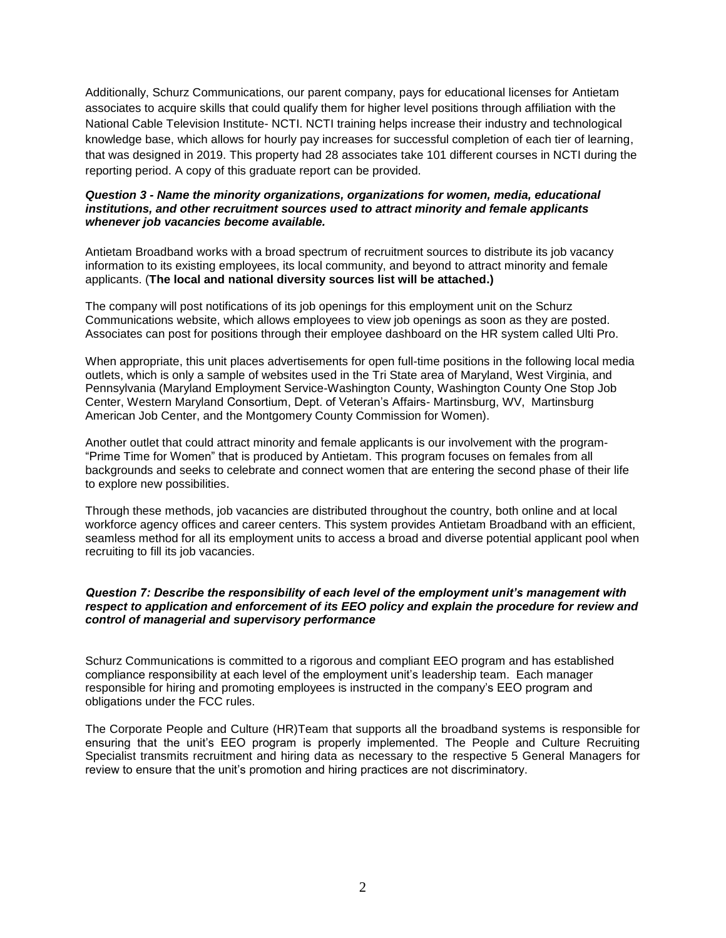Additionally, Schurz Communications, our parent company, pays for educational licenses for Antietam associates to acquire skills that could qualify them for higher level positions through affiliation with the National Cable Television Institute- NCTI. NCTI training helps increase their industry and technological knowledge base, which allows for hourly pay increases for successful completion of each tier of learning, that was designed in 2019. This property had 28 associates take 101 different courses in NCTI during the reporting period. A copy of this graduate report can be provided.

### *Question 3 - Name the minority organizations, organizations for women, media, educational institutions, and other recruitment sources used to attract minority and female applicants whenever job vacancies become available.*

Antietam Broadband works with a broad spectrum of recruitment sources to distribute its job vacancy information to its existing employees, its local community, and beyond to attract minority and female applicants. (**The local and national diversity sources list will be attached.)**

The company will post notifications of its job openings for this employment unit on the Schurz Communications website, which allows employees to view job openings as soon as they are posted. Associates can post for positions through their employee dashboard on the HR system called Ulti Pro.

When appropriate, this unit places advertisements for open full-time positions in the following local media outlets, which is only a sample of websites used in the Tri State area of Maryland, West Virginia, and Pennsylvania (Maryland Employment Service-Washington County, Washington County One Stop Job Center, Western Maryland Consortium, Dept. of Veteran's Affairs- Martinsburg, WV, Martinsburg American Job Center, and the Montgomery County Commission for Women).

Another outlet that could attract minority and female applicants is our involvement with the program- "Prime Time for Women" that is produced by Antietam. This program focuses on females from all backgrounds and seeks to celebrate and connect women that are entering the second phase of their life to explore new possibilities.

Through these methods, job vacancies are distributed throughout the country, both online and at local workforce agency offices and career centers. This system provides Antietam Broadband with an efficient, seamless method for all its employment units to access a broad and diverse potential applicant pool when recruiting to fill its job vacancies.

#### *Question 7: Describe the responsibility of each level of the employment unit's management with respect to application and enforcement of its EEO policy and explain the procedure for review and control of managerial and supervisory performance*

Schurz Communications is committed to a rigorous and compliant EEO program and has established compliance responsibility at each level of the employment unit's leadership team. Each manager responsible for hiring and promoting employees is instructed in the company's EEO program and obligations under the FCC rules.

The Corporate People and Culture (HR)Team that supports all the broadband systems is responsible for ensuring that the unit's EEO program is properly implemented. The People and Culture Recruiting Specialist transmits recruitment and hiring data as necessary to the respective 5 General Managers for review to ensure that the unit's promotion and hiring practices are not discriminatory.